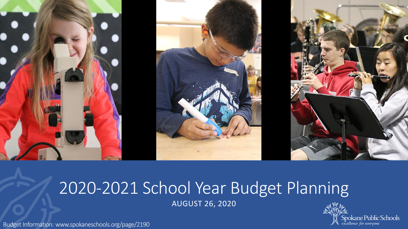

# 2020-2021 School Year Budget Planning

AUGUST 26, 2020



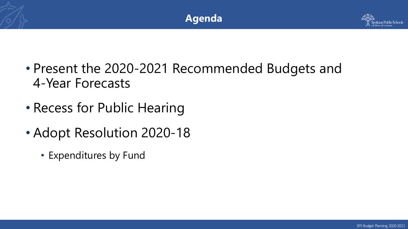



- Present the 2020-2021 Recommended Budgets and 4-Year Forecasts
- Recess for Public Hearing
- Adopt Resolution 2020-18
	- Expenditures by Fund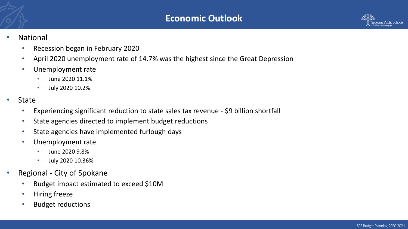

#### • National

- Recession began in February 2020
- April 2020 unemployment rate of 14.7% was the highest since the Great Depression
- Unemployment rate
	- June 2020 11.1%
	- July 2020 10.2%
- **State** 
	- Experiencing significant reduction to state sales tax revenue \$9 billion shortfall
	- State agencies directed to implement budget reductions
	- State agencies have implemented furlough days
	- Unemployment rate
		- June 2020 9.8%
		- July 2020 10.36%
- Regional City of Spokane
	- Budget impact estimated to exceed \$10M
	- Hiring freeze
	- Budget reductions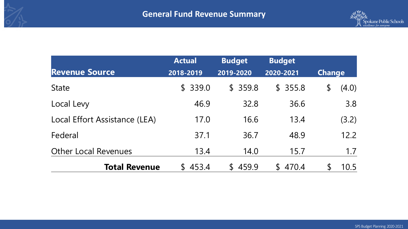

|                               | <b>Actual</b> | <b>Budget</b>           | <b>Budget</b>          |                        |
|-------------------------------|---------------|-------------------------|------------------------|------------------------|
| <b>Revenue Source</b>         | 2018-2019     | 2019-2020               | 2020-2021              | <b>Change</b>          |
| <b>State</b>                  | \$339.0       | \$359.8                 | \$355.8                | $\frac{1}{2}$<br>(4.0) |
| Local Levy                    | 46.9          | 32.8                    | 36.6                   | 3.8                    |
| Local Effort Assistance (LEA) | 17.0          | 16.6                    | 13.4                   | (3.2)                  |
| Federal                       | 37.1          | 36.7                    | 48.9                   | 12.2                   |
| <b>Other Local Revenues</b>   | 13.4          | 14.0                    | 15.7                   | 1.7                    |
| <b>Total Revenue</b>          | \$453.4       | 459.9<br>$\mathbb{S}^-$ | 470.4<br>$\mathcal{L}$ | $\mathcal{L}$<br>10.5  |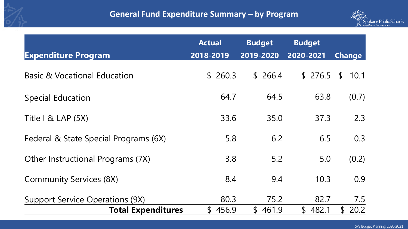## **General Fund Expenditure Summary – by Program**



| <b>Expenditure Program</b>              | <b>Actual</b><br>2018-2019 | <b>Budget</b><br>2019-2020 | <b>Budget</b><br>2020-2021 | <b>Change</b>        |
|-----------------------------------------|----------------------------|----------------------------|----------------------------|----------------------|
| <b>Basic &amp; Vocational Education</b> | \$260.3                    | \$266.4                    | \$276.5                    | $\mathsf S$<br>10.1  |
| <b>Special Education</b>                | 64.7                       | 64.5                       | 63.8                       | (0.7)                |
| Title $1 \&$ LAP $(5X)$                 | 33.6                       | 35.0                       | 37.3                       | 2.3                  |
| Federal & State Special Programs (6X)   | 5.8                        | 6.2                        | 6.5                        | 0.3                  |
| Other Instructional Programs (7X)       | 3.8                        | 5.2                        | 5.0                        | (0.2)                |
| <b>Community Services (8X)</b>          | 8.4                        | 9.4                        | 10.3                       | 0.9                  |
| <b>Support Service Operations (9X)</b>  | 80.3                       | 75.2                       | 82.7                       | 7.5                  |
| <b>Total Expenditures</b>               | \$456.9                    | \$461.9                    | \$482.1                    | 20.2<br>$\mathsf{S}$ |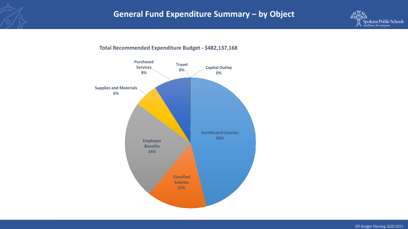

**Total Recommended Expenditure Budget - \$482,137,168**

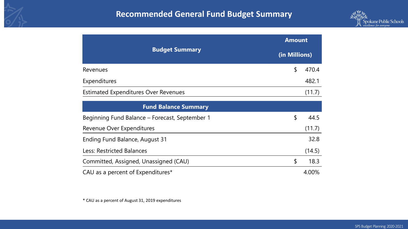

|                                             | <b>Amount</b> |        |  |  |
|---------------------------------------------|---------------|--------|--|--|
| <b>Budget Summary</b>                       | (in Millions) |        |  |  |
| Revenues                                    | S             | 470.4  |  |  |
| Expenditures                                |               | 482.1  |  |  |
| <b>Estimated Expenditures Over Revenues</b> |               | (11.7) |  |  |

| <b>Fund Balance Summary</b>                    |   |        |
|------------------------------------------------|---|--------|
| Beginning Fund Balance – Forecast, September 1 | S | 44.5   |
| Revenue Over Expenditures                      |   | (11.7) |
| Ending Fund Balance, August 31                 |   | 32.8   |
| Less: Restricted Balances                      |   | (14.5) |
| Committed, Assigned, Unassigned (CAU)          |   | 18.3   |
| CAU as a percent of Expenditures*              |   | 4.00%  |

\* CAU as a percent of August 31, 2019 expenditures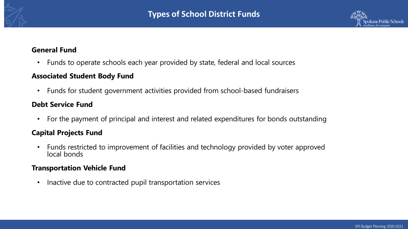

#### **General Fund**

• Funds to operate schools each year provided by state, federal and local sources

#### **Associated Student Body Fund**

• Funds for student government activities provided from school-based fundraisers

#### **Debt Service Fund**

• For the payment of principal and interest and related expenditures for bonds outstanding

### **Capital Projects Fund**

• Funds restricted to improvement of facilities and technology provided by voter approved local bonds

#### **Transportation Vehicle Fund**

• Inactive due to contracted pupil transportation services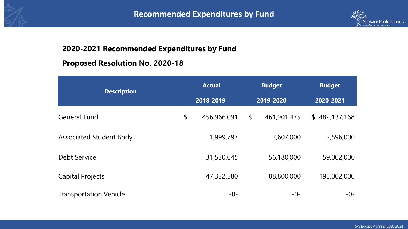



## **2020-2021 Recommended Expenditures by Fund**

## **Proposed Resolution No. 2020-18**

| <b>Description</b>             |           | <b>Actual</b> |           | <b>Budget</b> | <b>Budget</b><br>2020-2021 |  |
|--------------------------------|-----------|---------------|-----------|---------------|----------------------------|--|
|                                | 2018-2019 |               | 2019-2020 |               |                            |  |
| <b>General Fund</b>            | \$        | 456,966,091   | \$        | 461,901,475   | \$482,137,168              |  |
| <b>Associated Student Body</b> |           | 1,999,797     |           | 2,607,000     | 2,596,000                  |  |
| <b>Debt Service</b>            |           | 31,530,645    |           | 56,180,000    | 59,002,000                 |  |
| <b>Capital Projects</b>        |           | 47,332,580    |           | 88,800,000    | 195,002,000                |  |
| <b>Transportation Vehicle</b>  |           | -0-           |           | -0-           | -0-                        |  |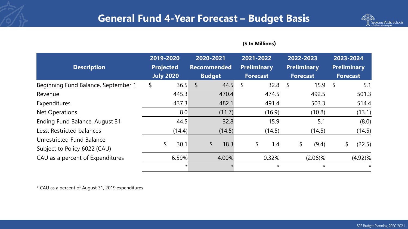

#### **(\$ In Millions)**

| <b>Description</b>                  | 2019-2020<br><b>Projected</b> | 2020-2021<br><b>Recommended</b> | 2021-2022<br><b>Preliminary</b> | 2022-2023<br><b>Preliminary</b> | 2023-2024<br><b>Preliminary</b> |
|-------------------------------------|-------------------------------|---------------------------------|---------------------------------|---------------------------------|---------------------------------|
|                                     | <b>July 2020</b>              | <b>Budget</b>                   | <b>Forecast</b>                 | <b>Forecast</b>                 | <b>Forecast</b>                 |
| Beginning Fund Balance, September 1 | 36.5<br>\$                    | $\sqrt{2}$<br>44.5              | \$<br>32.8                      | 15.9<br>\$                      | \$<br>5.1                       |
| Revenue                             | 445.3                         | 470.4                           | 474.5                           | 492.5                           | 501.3                           |
| Expenditures                        | 437.3                         | 482.1                           | 491.4                           | 503.3                           | 514.4                           |
| <b>Net Operations</b>               | 8.0                           | (11.7)                          | (16.9)                          | (10.8)                          | (13.1)                          |
| Ending Fund Balance, August 31      | 44.5                          | 32.8                            | 15.9                            | 5.1                             | (8.0)                           |
| Less: Restricted balances           | (14.4)                        | (14.5)                          | (14.5)                          | (14.5)                          | (14.5)                          |
| Unrestricted Fund Balance           | 30.1                          |                                 |                                 |                                 |                                 |
| Subject to Policy 6022 (CAU)        | \$                            | \$<br>18.3                      | \$<br>1.4                       | \$<br>(9.4)                     | (22.5)<br>\$                    |
| CAU as a percent of Expenditures    | 6.59%                         | 4.00%                           | 0.32%                           | $(2.06)\%$                      | $(4.92)\%$                      |
|                                     |                               |                                 | $\star$                         | $\star$                         | $\star$                         |

\* CAU as a percent of August 31, 2019 expenditures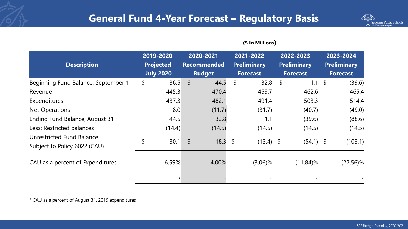

#### **(\$ In Millions)**

| <b>Description</b>                  | 2019-2020<br><b>Projected</b> |        |                           | 2020-2021<br><b>Recommended</b> | 2021-2022<br><b>Preliminary</b> |            | 2022-2023<br><b>Preliminary</b> | 2023-2024<br><b>Preliminary</b> |
|-------------------------------------|-------------------------------|--------|---------------------------|---------------------------------|---------------------------------|------------|---------------------------------|---------------------------------|
|                                     | <b>July 2020</b>              |        |                           | <b>Budget</b>                   | <b>Forecast</b>                 |            | <b>Forecast</b>                 | <b>Forecast</b>                 |
| Beginning Fund Balance, September 1 | \$                            | 36.5   | $\sqrt$                   | 44.5                            | \$<br>32.8                      | $\sqrt{2}$ | $1.1 \; \text{S}$               | (39.6)                          |
| Revenue                             |                               | 445.3  |                           | 470.4                           | 459.7                           |            | 462.6                           | 465.4                           |
| Expenditures                        |                               | 437.3  |                           | 482.1                           | 491.4                           |            | 503.3                           | 514.4                           |
| <b>Net Operations</b>               |                               | 8.0    |                           | (11.7)                          | (31.7)                          |            | (40.7)                          | (49.0)                          |
| Ending Fund Balance, August 31      |                               | 44.5   |                           | 32.8                            | 1.1                             |            | (39.6)                          | (88.6)                          |
| Less: Restricted balances           |                               | (14.4) |                           | (14.5)                          | (14.5)                          |            | (14.5)                          | (14.5)                          |
| Unrestricted Fund Balance           |                               | 30.1   | $\boldsymbol{\mathsf{L}}$ | 18.3                            | \$<br>$(13.4)$ \$               |            | $(54.1)$ \$                     | (103.1)                         |
| Subject to Policy 6022 (CAU)        |                               |        |                           |                                 |                                 |            |                                 |                                 |
| CAU as a percent of Expenditures    |                               | 6.59%  |                           | 4.00%                           | $(3.06)\%$                      |            | $(11.84)\%$                     | $(22.56)\%$                     |
|                                     |                               |        |                           |                                 | $\star$                         |            | $\star$                         | $\star$                         |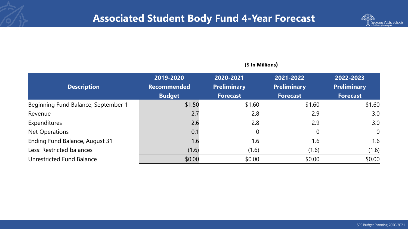

| <b>Description</b>                  | 2019-2020<br><b>Recommended</b><br><b>Budget</b> | 2020-2021<br><b>Preliminary</b><br><b>Forecast</b> | 2021-2022<br><b>Preliminary</b><br><b>Forecast</b> | 2022-2023<br><b>Preliminary</b><br><b>Forecast</b> |
|-------------------------------------|--------------------------------------------------|----------------------------------------------------|----------------------------------------------------|----------------------------------------------------|
| Beginning Fund Balance, September 1 | \$1.50                                           | \$1.60                                             | \$1.60                                             | \$1.60                                             |
| Revenue                             | 2.7                                              | 2.8                                                | 2.9                                                | 3.0                                                |
| Expenditures                        | 2.6                                              | 2.8                                                | 2.9                                                | 3.0                                                |
| Net Operations                      | 0.1                                              | $\overline{0}$                                     |                                                    | $\overline{0}$                                     |
| Ending Fund Balance, August 31      | 1.6                                              | 1.6                                                | 1.6                                                | 1.6                                                |
| Less: Restricted balances           | (1.6)                                            | (1.6)                                              | (1.6)                                              | (1.6)                                              |
| Unrestricted Fund Balance           | \$0.00                                           | \$0.00                                             | \$0.00                                             | \$0.00                                             |

#### **(\$ In Millions)**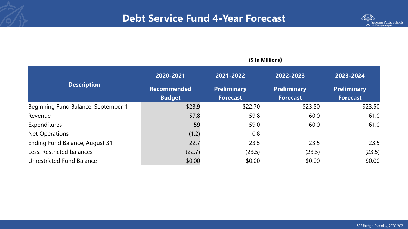

|                                     | (\$ In Millions)   |                    |                    |                    |  |  |  |
|-------------------------------------|--------------------|--------------------|--------------------|--------------------|--|--|--|
|                                     | 2020-2021          | 2021-2022          | 2022-2023          | 2023-2024          |  |  |  |
| <b>Description</b>                  | <b>Recommended</b> | <b>Preliminary</b> | <b>Preliminary</b> | <b>Preliminary</b> |  |  |  |
|                                     | <b>Budget</b>      | <b>Forecast</b>    | <b>Forecast</b>    | <b>Forecast</b>    |  |  |  |
| Beginning Fund Balance, September 1 | \$23.9             | \$22.70            | \$23.50            | \$23.50            |  |  |  |
| Revenue                             | 57.8               | 59.8               | 60.0               | 61.0               |  |  |  |
| Expenditures                        | 59                 | 59.0               | 60.0               | 61.0               |  |  |  |
| <b>Net Operations</b>               | (1.2)              | 0.8                |                    |                    |  |  |  |
| Ending Fund Balance, August 31      | 22.7               | 23.5               | 23.5               | 23.5               |  |  |  |
| Less: Restricted balances           | (22.7)             | (23.5)             | (23.5)             | (23.5)             |  |  |  |
| <b>Unrestricted Fund Balance</b>    | \$0.00             | \$0.00             | \$0.00             | \$0.00             |  |  |  |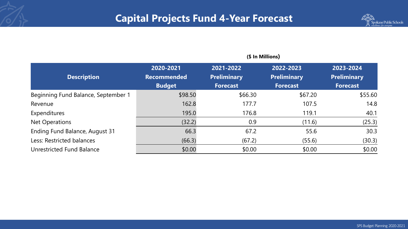# **Capital Projects Fund 4-Year Forecast**



|                                     | (\$ In Millions)   |                    |                    |                    |  |  |  |
|-------------------------------------|--------------------|--------------------|--------------------|--------------------|--|--|--|
|                                     | 2020-2021          | 2021-2022          | 2022-2023          | 2023-2024          |  |  |  |
| <b>Description</b>                  | <b>Recommended</b> | <b>Preliminary</b> | <b>Preliminary</b> | <b>Preliminary</b> |  |  |  |
|                                     | <b>Budget</b>      | <b>Forecast</b>    | <b>Forecast</b>    | <b>Forecast</b>    |  |  |  |
| Beginning Fund Balance, September 1 | \$98.50            | \$66.30            | \$67.20            | \$55.60            |  |  |  |
| Revenue                             | 162.8              | 177.7              | 107.5              | 14.8               |  |  |  |
| Expenditures                        | 195.0              | 176.8              | 119.1              | 40.1               |  |  |  |
| <b>Net Operations</b>               | (32.2)             | 0.9                | (11.6)             | (25.3)             |  |  |  |
| Ending Fund Balance, August 31      | 66.3               | 67.2               | 55.6               | 30.3               |  |  |  |
| Less: Restricted balances           | (66.3)             | (67.2)             | (55.6)             | (30.3)             |  |  |  |
| Unrestricted Fund Balance           | \$0.00             | \$0.00             | \$0.00             | \$0.00             |  |  |  |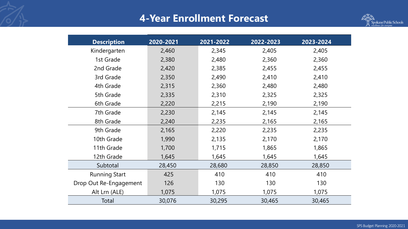# **4-Year Enrollment Forecast**



| <b>Description</b>     | 2020-2021 | 2021-2022 | 2022-2023 | 2023-2024 |
|------------------------|-----------|-----------|-----------|-----------|
| Kindergarten           | 2,460     | 2,345     | 2,405     | 2,405     |
| 1st Grade              | 2,380     | 2,480     | 2,360     | 2,360     |
| 2nd Grade              | 2,420     | 2,385     | 2,455     | 2,455     |
| 3rd Grade              | 2,350     | 2,490     | 2,410     | 2,410     |
| 4th Grade              | 2,315     | 2,360     | 2,480     | 2,480     |
| 5th Grade              | 2,335     | 2,310     | 2,325     | 2,325     |
| 6th Grade              | 2,220     | 2,215     | 2,190     | 2,190     |
| 7th Grade              | 2,230     | 2,145     | 2,145     | 2,145     |
| 8th Grade              | 2,240     | 2,235     | 2,165     | 2,165     |
| 9th Grade              | 2,165     | 2,220     | 2,235     | 2,235     |
| 10th Grade             | 1,990     | 2,135     | 2,170     | 2,170     |
| 11th Grade             | 1,700     | 1,715     | 1,865     | 1,865     |
| 12th Grade             | 1,645     | 1,645     | 1,645     | 1,645     |
| Subtotal               | 28,450    | 28,680    | 28,850    | 28,850    |
| <b>Running Start</b>   | 425       | 410       | 410       | 410       |
| Drop Out Re-Engagement | 126       | 130       | 130       | 130       |
| Alt Lrn (ALE)          | 1,075     | 1,075     | 1,075     | 1,075     |
| Total                  | 30,076    | 30,295    | 30,465    | 30,465    |